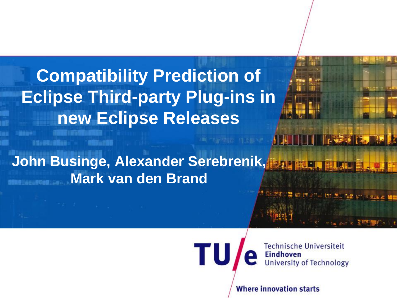**Compatibility Prediction of Eclipse Third-party Plug-ins in new Eclipse Releases**

**I To BE I Shok** 

**John Businge, Alexander Serebrenik, MADE PROPER Mark van den Brand**

TU

**Technische Universiteit Eindhoven University of Technology** 

**PASSED BA** 

**Where innovation starts**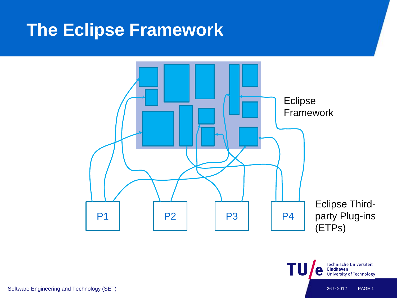#### **The Eclipse Framework**



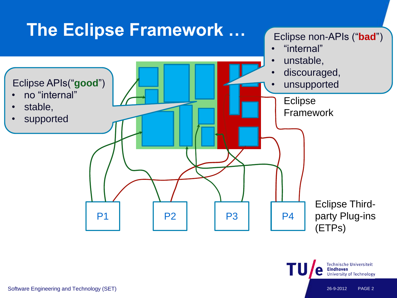

**Technische Universiteit** 

University of Technology

**Eindhoven**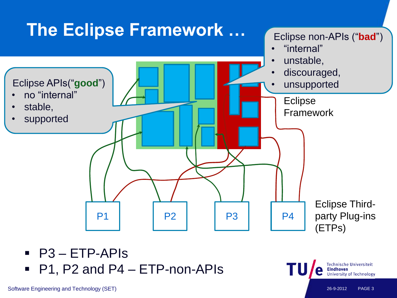

- P3 ETP-APIs
- P1, P2 and P4 ETP-non-APIs

**Technische Universiteit** 

University of Technology

**Eindhoven**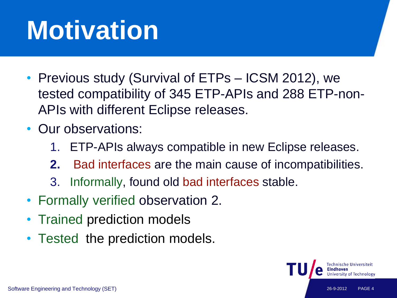# **Motivation**

- Previous study (Survival of ETPs ICSM 2012), we tested compatibility of 345 ETP-APIs and 288 ETP-non-APIs with different Eclipse releases.
- Our observations:
	- 1. ETP-APIs always compatible in new Eclipse releases.
	- **2.** Bad interfaces are the main cause of incompatibilities.
	- 3. Informally, found old bad interfaces stable.
- Formally verified observation 2.
- Trained prediction models
- Tested the prediction models.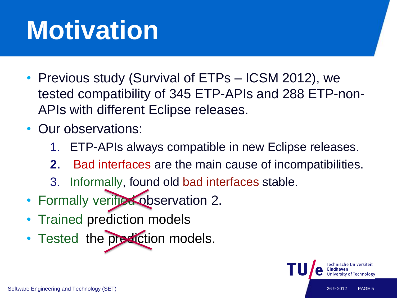# **Motivation**

- Previous study (Survival of ETPs ICSM 2012), we tested compatibility of 345 ETP-APIs and 288 ETP-non-APIs with different Eclipse releases.
- Our observations:
	- 1. ETP-APIs always compatible in new Eclipse releases.
	- **2.** Bad interfaces are the main cause of incompatibilities.
	- 3. Informally, found old bad interfaces stable.
- Formally verified observation 2.
- Trained prediction models
- Tested the prediction models.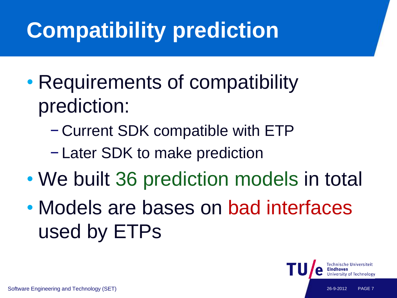## **Compatibility prediction**

- Requirements of compatibility prediction:
	- − Current SDK compatible with ETP
	- − Later SDK to make prediction
- We built 36 prediction models in total
- Models are bases on bad interfaces used by ETPs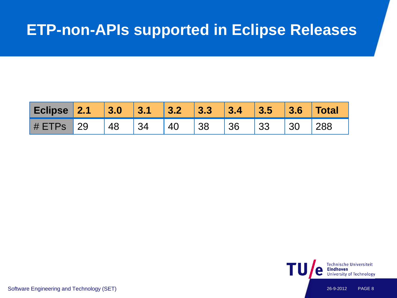#### **ETP-non-APIs supported in Eclipse Releases**

| Eclipse 2.1 3.0 3.1 3.2 3.3 3.4 3.5 3.6 Total |  |  |  |  |  |
|-----------------------------------------------|--|--|--|--|--|
| # ETPs 29 48 34 40 38 36 33 30 288            |  |  |  |  |  |



Software Engineering and Technology (SET) 26-9-2012 PAGE 8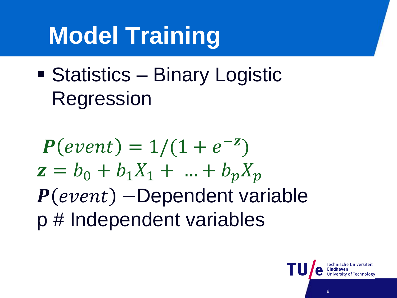## **Model Training**

■ Statistics – Binary Logistic Regression

 $P(event) = 1/(1 + e^{-z})$  $z = b_0 + b_1 X_1 + ... + b_p X_p$  $P(event)$  –Dependent variable p # Independent variables

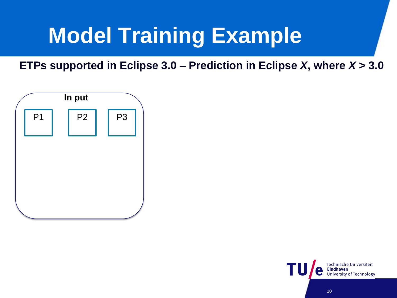

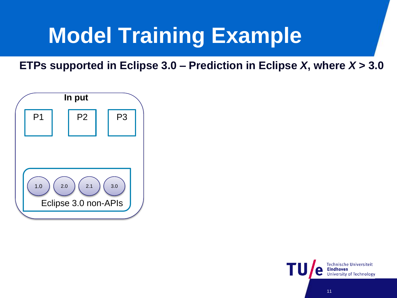

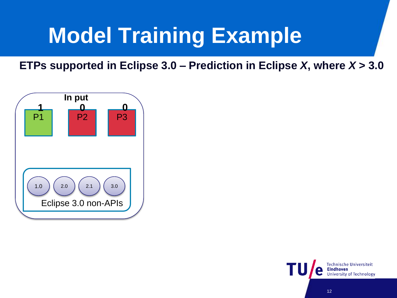

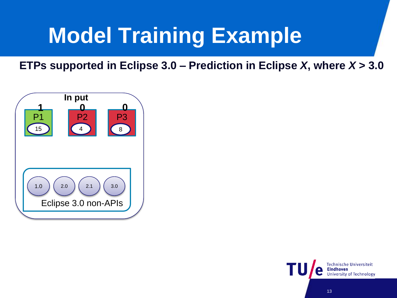

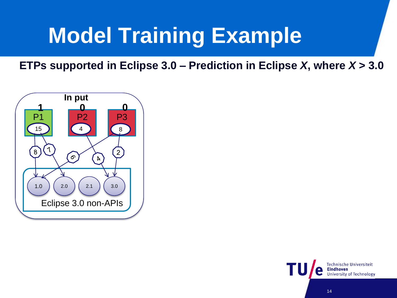

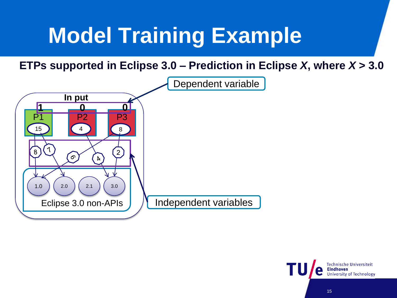

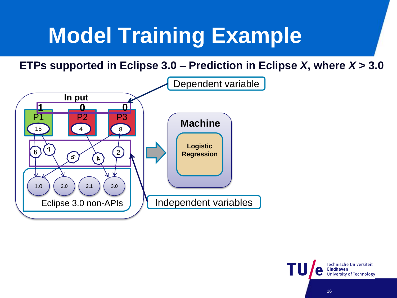

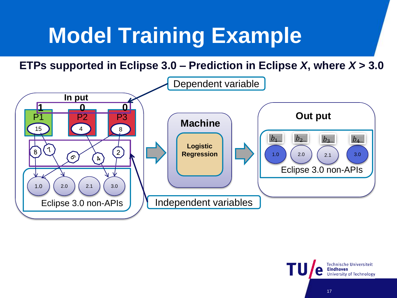

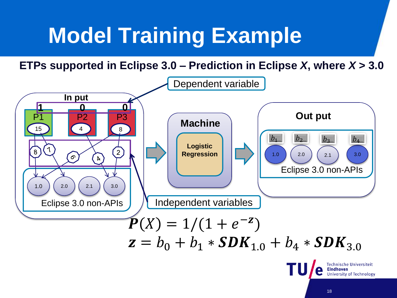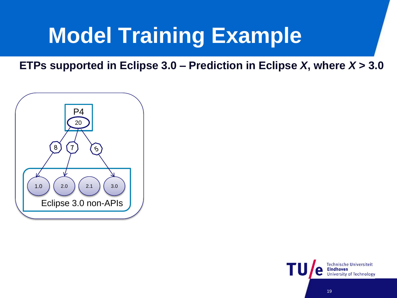

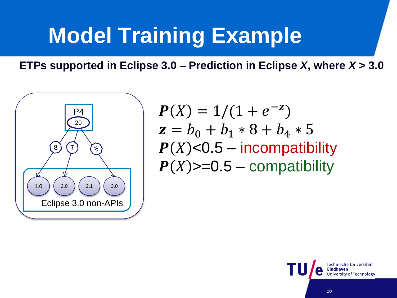

 $P(X) = 1/(1 + e^{-z})$  $z = b_0 + b_1 * 8 + b_4 * 5$  $P(X)$ <0.5 – incompatibility  $P(X)$  > = 0.5 – compatibility

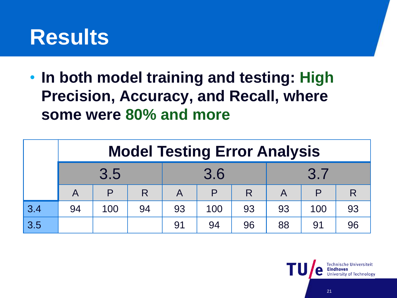

• **In both model training and testing: High Precision, Accuracy, and Recall, where some were 80% and more**

|     | <b>Model Testing Error Analysis</b> |     |    |     |     |    |     |     |    |  |  |
|-----|-------------------------------------|-----|----|-----|-----|----|-----|-----|----|--|--|
|     | 3.5                                 |     |    | 3.6 |     |    | 3.7 |     |    |  |  |
|     | A                                   | P   | R  | A   |     | R  | A   |     |    |  |  |
| 3.4 | 94                                  | 100 | 94 | 93  | 100 | 93 | 93  | 100 | 93 |  |  |
| 3.5 |                                     |     |    | 91  | 94  | 96 | 88  | 91  | 96 |  |  |

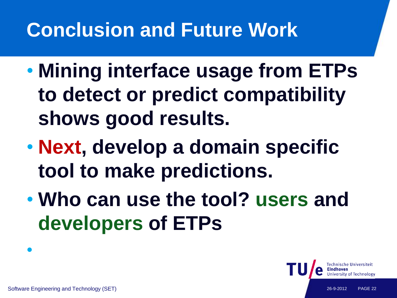#### **Conclusion and Future Work**

- **Mining interface usage from ETPs to detect or predict compatibility shows good results.**
- **Next, develop a domain specific tool to make predictions.**
- **Who can use the tool? users and developers of ETPs**

•